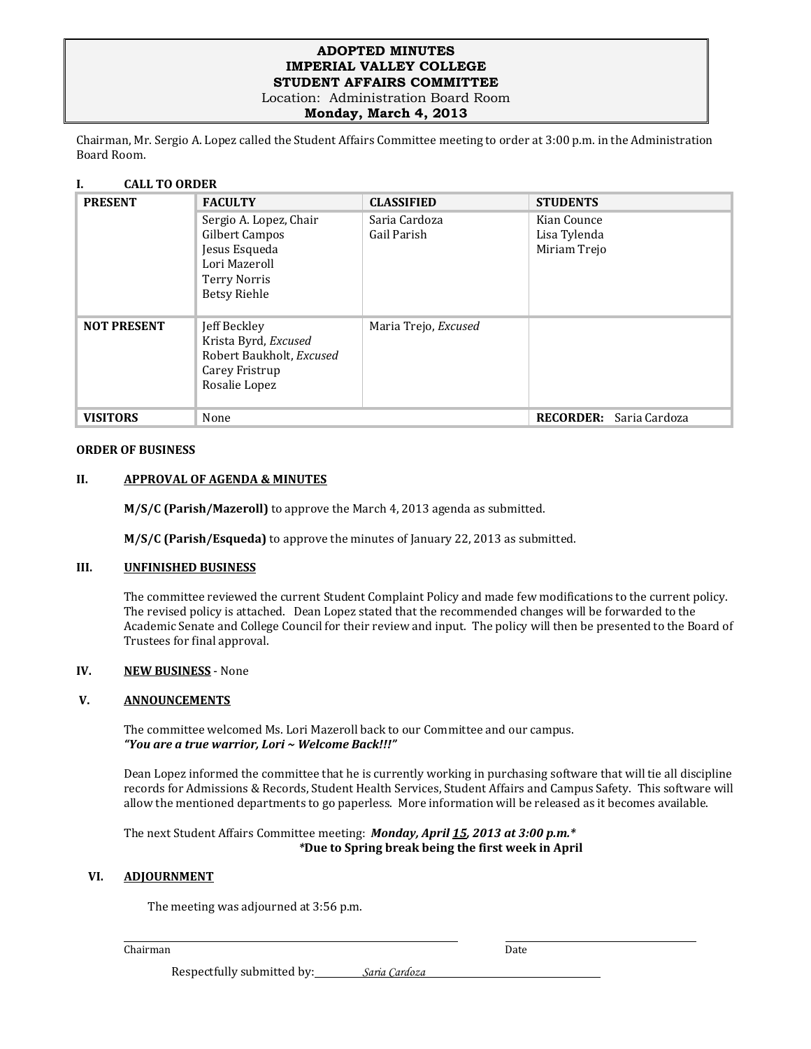## **ADOPTED MINUTES IMPERIAL VALLEY COLLEGE STUDENT AFFAIRS COMMITTEE**

Location: Administration Board Room

**Monday, March 4, 2013**

Chairman, Mr. Sergio A. Lopez called the Student Affairs Committee meeting to order at 3:00 p.m. in the Administration Board Room.

# **I. CALL TO ORDER**

| <b>PRESENT</b>     | <b>FACULTY</b>                                                                                                    | <b>CLASSIFIED</b>            | <b>STUDENTS</b>                             |  |
|--------------------|-------------------------------------------------------------------------------------------------------------------|------------------------------|---------------------------------------------|--|
|                    | Sergio A. Lopez, Chair<br>Gilbert Campos<br>Jesus Esqueda<br>Lori Mazeroll<br>Terry Norris<br><b>Betsy Riehle</b> | Saria Cardoza<br>Gail Parish | Kian Counce<br>Lisa Tylenda<br>Miriam Trejo |  |
| <b>NOT PRESENT</b> | Jeff Beckley<br>Krista Byrd, Excused<br>Robert Baukholt, Excused<br>Carey Fristrup<br>Rosalie Lopez               | Maria Trejo, Excused         |                                             |  |
| <b>VISITORS</b>    | None                                                                                                              |                              | <b>RECORDER:</b> Saria Cardoza              |  |

#### **ORDER OF BUSINESS**

## **II. APPROVAL OF AGENDA & MINUTES**

**M/S/C (Parish/Mazeroll)** to approve the March 4, 2013 agenda as submitted.

**M/S/C (Parish/Esqueda)** to approve the minutes of January 22, 2013 as submitted.

# **III. UNFINISHED BUSINESS**

The committee reviewed the current Student Complaint Policy and made few modifications to the current policy. The revised policy is attached. Dean Lopez stated that the recommended changes will be forwarded to the Academic Senate and College Council for their review and input. The policy will then be presented to the Board of Trustees for final approval.

## **IV. NEW BUSINESS** - None

### **V. ANNOUNCEMENTS**

The committee welcomed Ms. Lori Mazeroll back to our Committee and our campus. *"You are a true warrior, Lori ~ Welcome Back!!!"*

Dean Lopez informed the committee that he is currently working in purchasing software that will tie all discipline records for Admissions & Records, Student Health Services, Student Affairs and Campus Safety. This software will allow the mentioned departments to go paperless. More information will be released as it becomes available.

The next Student Affairs Committee meeting: *Monday, April 15, 2013 at 3:00 p.m.\* \****Due to Spring break being the first week in April**

#### **VI. ADJOURNMENT**

The meeting was adjourned at 3:56 p.m.

#### Chairman Date

Respectfully submitted by: *Saria Cardoza*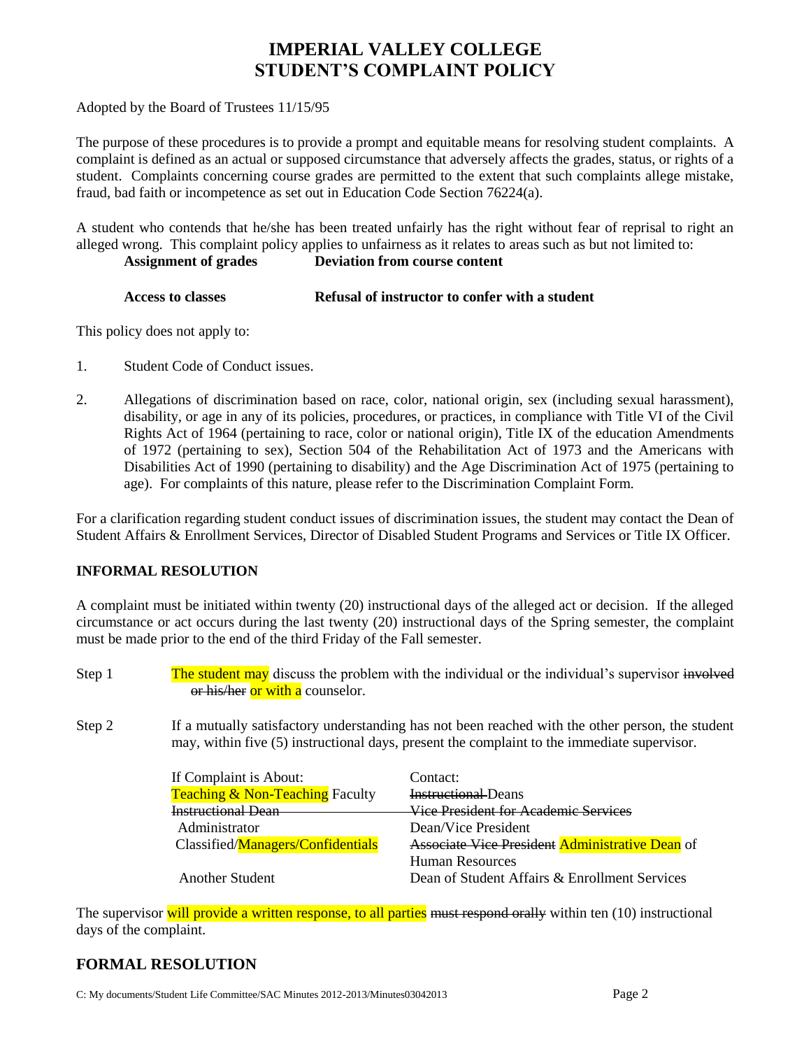# **IMPERIAL VALLEY COLLEGE STUDENT'S COMPLAINT POLICY**

Adopted by the Board of Trustees 11/15/95

The purpose of these procedures is to provide a prompt and equitable means for resolving student complaints. A complaint is defined as an actual or supposed circumstance that adversely affects the grades, status, or rights of a student. Complaints concerning course grades are permitted to the extent that such complaints allege mistake, fraud, bad faith or incompetence as set out in Education Code Section 76224(a).

A student who contends that he/she has been treated unfairly has the right without fear of reprisal to right an alleged wrong. This complaint policy applies to unfairness as it relates to areas such as but not limited to: **Assignment of grades Deviation from course content**

| Access to classes | Refusal of instructor to confer with a student |
|-------------------|------------------------------------------------|
|                   |                                                |

This policy does not apply to:

- 1. Student Code of Conduct issues.
- 2. Allegations of discrimination based on race, color, national origin, sex (including sexual harassment), disability, or age in any of its policies, procedures, or practices, in compliance with Title VI of the Civil Rights Act of 1964 (pertaining to race, color or national origin), Title IX of the education Amendments of 1972 (pertaining to sex), Section 504 of the Rehabilitation Act of 1973 and the Americans with Disabilities Act of 1990 (pertaining to disability) and the Age Discrimination Act of 1975 (pertaining to age). For complaints of this nature, please refer to the Discrimination Complaint Form.

For a clarification regarding student conduct issues of discrimination issues, the student may contact the Dean of Student Affairs & Enrollment Services, Director of Disabled Student Programs and Services or Title IX Officer.

# **INFORMAL RESOLUTION**

A complaint must be initiated within twenty (20) instructional days of the alleged act or decision. If the alleged circumstance or act occurs during the last twenty (20) instructional days of the Spring semester, the complaint must be made prior to the end of the third Friday of the Fall semester.

- Step 1 The student may discuss the problem with the individual or the individual's supervisor involved or his/her or with a counselor.
- Step 2 If a mutually satisfactory understanding has not been reached with the other person, the student may, within five (5) instructional days, present the complaint to the immediate supervisor.

| If Complaint is About:                     | Contact:                                               |  |  |
|--------------------------------------------|--------------------------------------------------------|--|--|
| <b>Teaching &amp; Non-Teaching Faculty</b> | <b>Instructional</b> Deans                             |  |  |
| <b>Instructional Dean</b>                  | Vice President for Academic Services                   |  |  |
| Administrator                              | Dean/Vice President                                    |  |  |
| Classified/Managers/Confidentials          | <b>Associate Vice President Administrative Dean</b> of |  |  |
|                                            | <b>Human Resources</b>                                 |  |  |
| <b>Another Student</b>                     | Dean of Student Affairs & Enrollment Services          |  |  |

The supervisor will provide a written response, to all parties must respond orally within ten (10) instructional days of the complaint.

# **FORMAL RESOLUTION**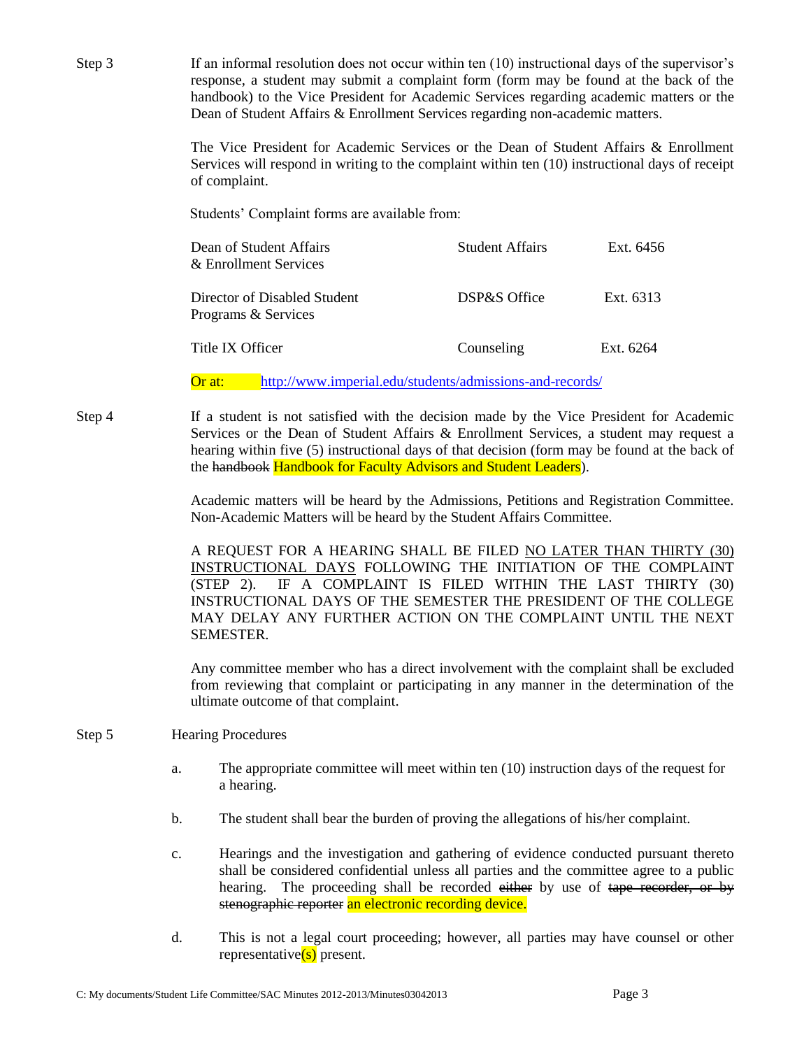| Step 3 |    | If an informal resolution does not occur within ten (10) instructional days of the supervisor's<br>response, a student may submit a complaint form (form may be found at the back of the<br>handbook) to the Vice President for Academic Services regarding academic matters or the<br>Dean of Student Affairs & Enrollment Services regarding non-academic matters.<br>The Vice President for Academic Services or the Dean of Student Affairs & Enrollment |                        |           |  |  |  |
|--------|----|--------------------------------------------------------------------------------------------------------------------------------------------------------------------------------------------------------------------------------------------------------------------------------------------------------------------------------------------------------------------------------------------------------------------------------------------------------------|------------------------|-----------|--|--|--|
|        |    | Services will respond in writing to the complaint within ten (10) instructional days of receipt<br>of complaint.                                                                                                                                                                                                                                                                                                                                             |                        |           |  |  |  |
|        |    | Students' Complaint forms are available from:                                                                                                                                                                                                                                                                                                                                                                                                                |                        |           |  |  |  |
|        |    | Dean of Student Affairs<br>& Enrollment Services                                                                                                                                                                                                                                                                                                                                                                                                             | <b>Student Affairs</b> | Ext. 6456 |  |  |  |
|        |    | Director of Disabled Student<br>Programs & Services                                                                                                                                                                                                                                                                                                                                                                                                          | DSP&S Office           | Ext. 6313 |  |  |  |
|        |    | Title IX Officer                                                                                                                                                                                                                                                                                                                                                                                                                                             | Counseling             | Ext. 6264 |  |  |  |
|        |    | http://www.imperial.edu/students/admissions-and-records/<br>Or at:                                                                                                                                                                                                                                                                                                                                                                                           |                        |           |  |  |  |
| Step 4 |    | If a student is not satisfied with the decision made by the Vice President for Academic<br>Services or the Dean of Student Affairs & Enrollment Services, a student may request a<br>hearing within five (5) instructional days of that decision (form may be found at the back of<br>the handbook Handbook for Faculty Advisors and Student Leaders).                                                                                                       |                        |           |  |  |  |
|        |    | Academic matters will be heard by the Admissions, Petitions and Registration Committee.<br>Non-Academic Matters will be heard by the Student Affairs Committee.                                                                                                                                                                                                                                                                                              |                        |           |  |  |  |
|        |    | A REQUEST FOR A HEARING SHALL BE FILED NO LATER THAN THIRTY (30)<br>INSTRUCTIONAL DAYS FOLLOWING THE INITIATION OF THE COMPLAINT<br>IF A COMPLAINT IS FILED WITHIN THE LAST THIRTY (30)<br>$(STEP 2)$ .<br>INSTRUCTIONAL DAYS OF THE SEMESTER THE PRESIDENT OF THE COLLEGE<br>MAY DELAY ANY FURTHER ACTION ON THE COMPLAINT UNTIL THE NEXT<br>SEMESTER.                                                                                                      |                        |           |  |  |  |
|        |    | Any committee member who has a direct involvement with the complaint shall be excluded<br>from reviewing that complaint or participating in any manner in the determination of the<br>ultimate outcome of that complaint.                                                                                                                                                                                                                                    |                        |           |  |  |  |
| Step 5 |    | <b>Hearing Procedures</b>                                                                                                                                                                                                                                                                                                                                                                                                                                    |                        |           |  |  |  |
|        | a. | The appropriate committee will meet within ten (10) instruction days of the request for<br>a hearing.                                                                                                                                                                                                                                                                                                                                                        |                        |           |  |  |  |
|        | b. | The student shall bear the burden of proving the allegations of his/her complaint.                                                                                                                                                                                                                                                                                                                                                                           |                        |           |  |  |  |
|        | c. | Hearings and the investigation and gathering of evidence conducted pursuant thereto<br>shall be considered confidential unless all parties and the committee agree to a public<br>The proceeding shall be recorded either by use of tape recorder, or by<br>hearing.<br>stenographic reporter an electronic recording device.                                                                                                                                |                        |           |  |  |  |

d. This is not a legal court proceeding; however, all parties may have counsel or other representative(s) present.